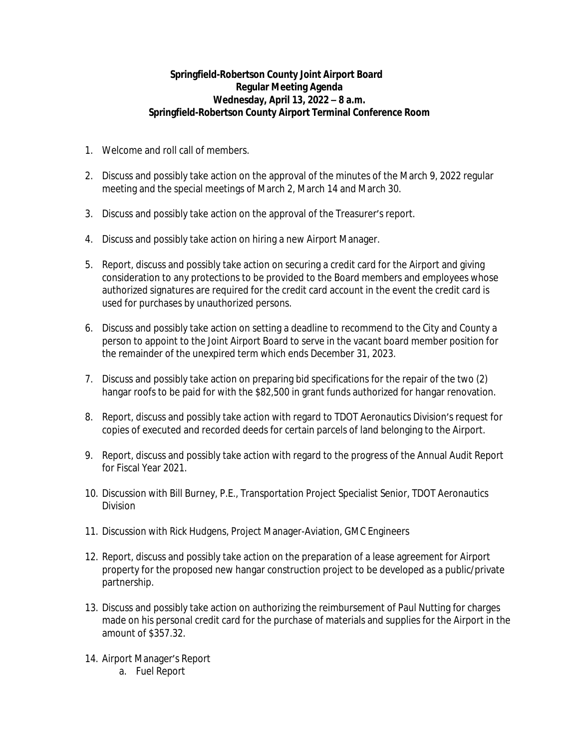## **Springfield-Robertson County Joint Airport Board Regular Meeting Agenda Wednesday, April 13, 2022 – 8 a.m. Springfield-Robertson County Airport Terminal Conference Room**

- 1. Welcome and roll call of members.
- 2. Discuss and possibly take action on the approval of the minutes of the March 9, 2022 regular meeting and the special meetings of March 2, March 14 and March 30.
- 3. Discuss and possibly take action on the approval of the Treasurer's report.
- 4. Discuss and possibly take action on hiring a new Airport Manager.
- 5. Report, discuss and possibly take action on securing a credit card for the Airport and giving consideration to any protections to be provided to the Board members and employees whose authorized signatures are required for the credit card account in the event the credit card is used for purchases by unauthorized persons.
- 6. Discuss and possibly take action on setting a deadline to recommend to the City and County a person to appoint to the Joint Airport Board to serve in the vacant board member position for the remainder of the unexpired term which ends December 31, 2023.
- 7. Discuss and possibly take action on preparing bid specifications for the repair of the two (2) hangar roofs to be paid for with the \$82,500 in grant funds authorized for hangar renovation.
- 8. Report, discuss and possibly take action with regard to TDOT Aeronautics Division's request for copies of executed and recorded deeds for certain parcels of land belonging to the Airport.
- 9. Report, discuss and possibly take action with regard to the progress of the Annual Audit Report for Fiscal Year 2021.
- 10. Discussion with Bill Burney, P.E., Transportation Project Specialist Senior, TDOT Aeronautics Division
- 11. Discussion with Rick Hudgens, Project Manager-Aviation, GMC Engineers
- 12. Report, discuss and possibly take action on the preparation of a lease agreement for Airport property for the proposed new hangar construction project to be developed as a public/private partnership.
- 13. Discuss and possibly take action on authorizing the reimbursement of Paul Nutting for charges made on his personal credit card for the purchase of materials and supplies for the Airport in the amount of \$357.32.
- 14. Airport Manager's Report
	- a. Fuel Report